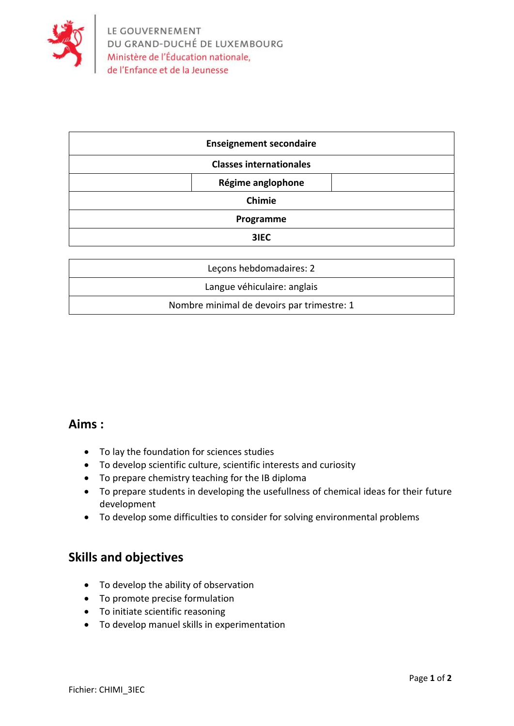

| <b>Enseignement secondaire</b> |  |
|--------------------------------|--|
| <b>Classes internationales</b> |  |
| Régime anglophone              |  |
| Chimie                         |  |
| Programme                      |  |
| 3IEC                           |  |

| Lecons hebdomadaires: 2                    |  |
|--------------------------------------------|--|
| Langue véhiculaire: anglais                |  |
| Nombre minimal de devoirs par trimestre: 1 |  |

## **Aims :**

- To lay the foundation for sciences studies
- To develop scientific culture, scientific interests and curiosity
- To prepare chemistry teaching for the IB diploma
- To prepare students in developing the usefullness of chemical ideas for their future development
- To develop some difficulties to consider for solving environmental problems

## **Skills and objectives**

- To develop the ability of observation
- To promote precise formulation
- To initiate scientific reasoning
- To develop manuel skills in experimentation